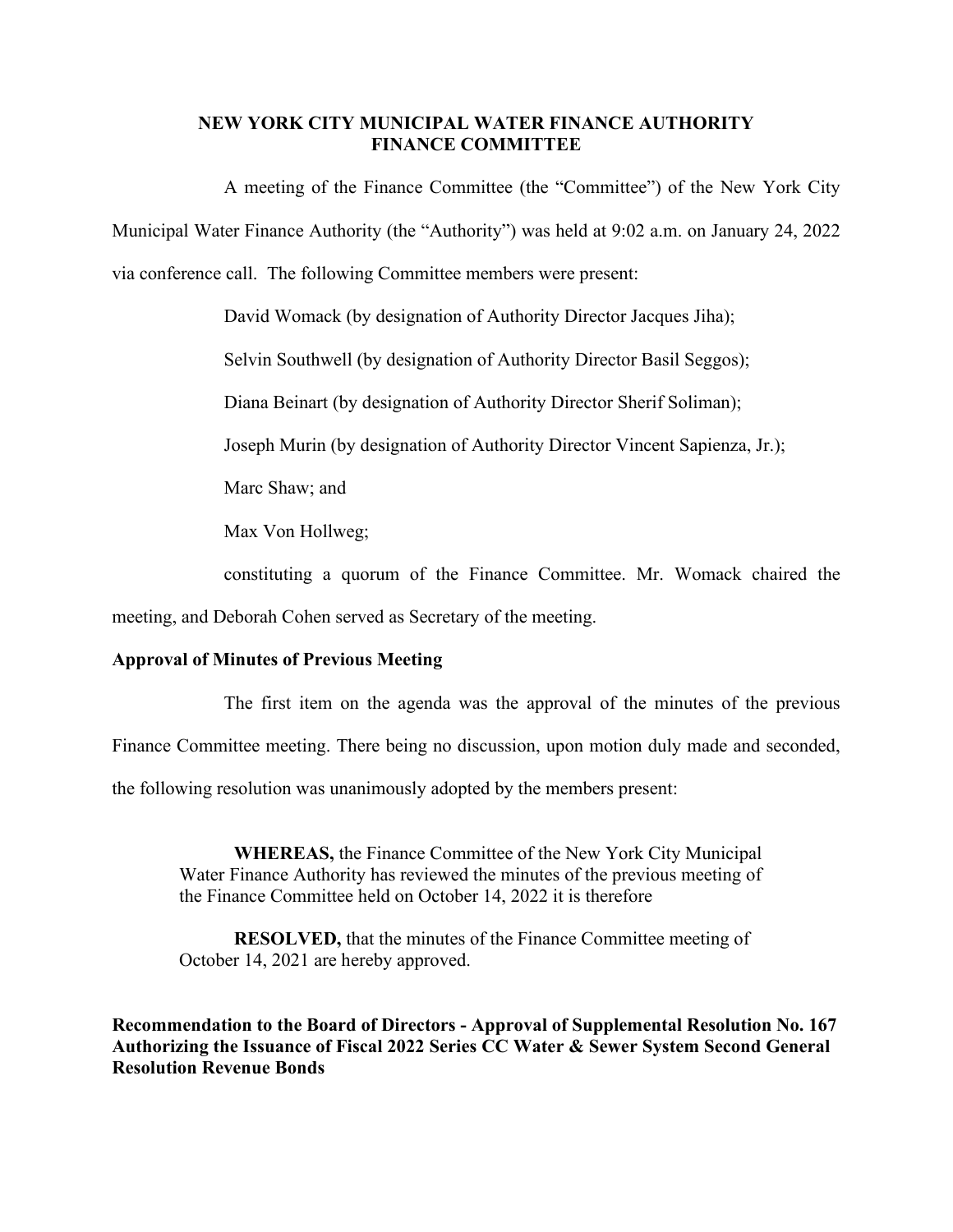## **NEW YORK CITY MUNICIPAL WATER FINANCE AUTHORITY FINANCE COMMITTEE**

A meeting of the Finance Committee (the "Committee") of the New York City Municipal Water Finance Authority (the "Authority") was held at 9:02 a.m. on January 24, 2022 via conference call. The following Committee members were present:

David Womack (by designation of Authority Director Jacques Jiha);

Selvin Southwell (by designation of Authority Director Basil Seggos);

Diana Beinart (by designation of Authority Director Sherif Soliman);

Joseph Murin (by designation of Authority Director Vincent Sapienza, Jr.);

Marc Shaw; and

Max Von Hollweg;

constituting a quorum of the Finance Committee. Mr. Womack chaired the

meeting, and Deborah Cohen served as Secretary of the meeting.

## **Approval of Minutes of Previous Meeting**

The first item on the agenda was the approval of the minutes of the previous

Finance Committee meeting. There being no discussion, upon motion duly made and seconded,

the following resolution was unanimously adopted by the members present:

**WHEREAS,** the Finance Committee of the New York City Municipal Water Finance Authority has reviewed the minutes of the previous meeting of the Finance Committee held on October 14, 2022 it is therefore

**RESOLVED,** that the minutes of the Finance Committee meeting of October 14, 2021 are hereby approved.

**Recommendation to the Board of Directors - Approval of Supplemental Resolution No. 167 Authorizing the Issuance of Fiscal 2022 Series CC Water & Sewer System Second General Resolution Revenue Bonds**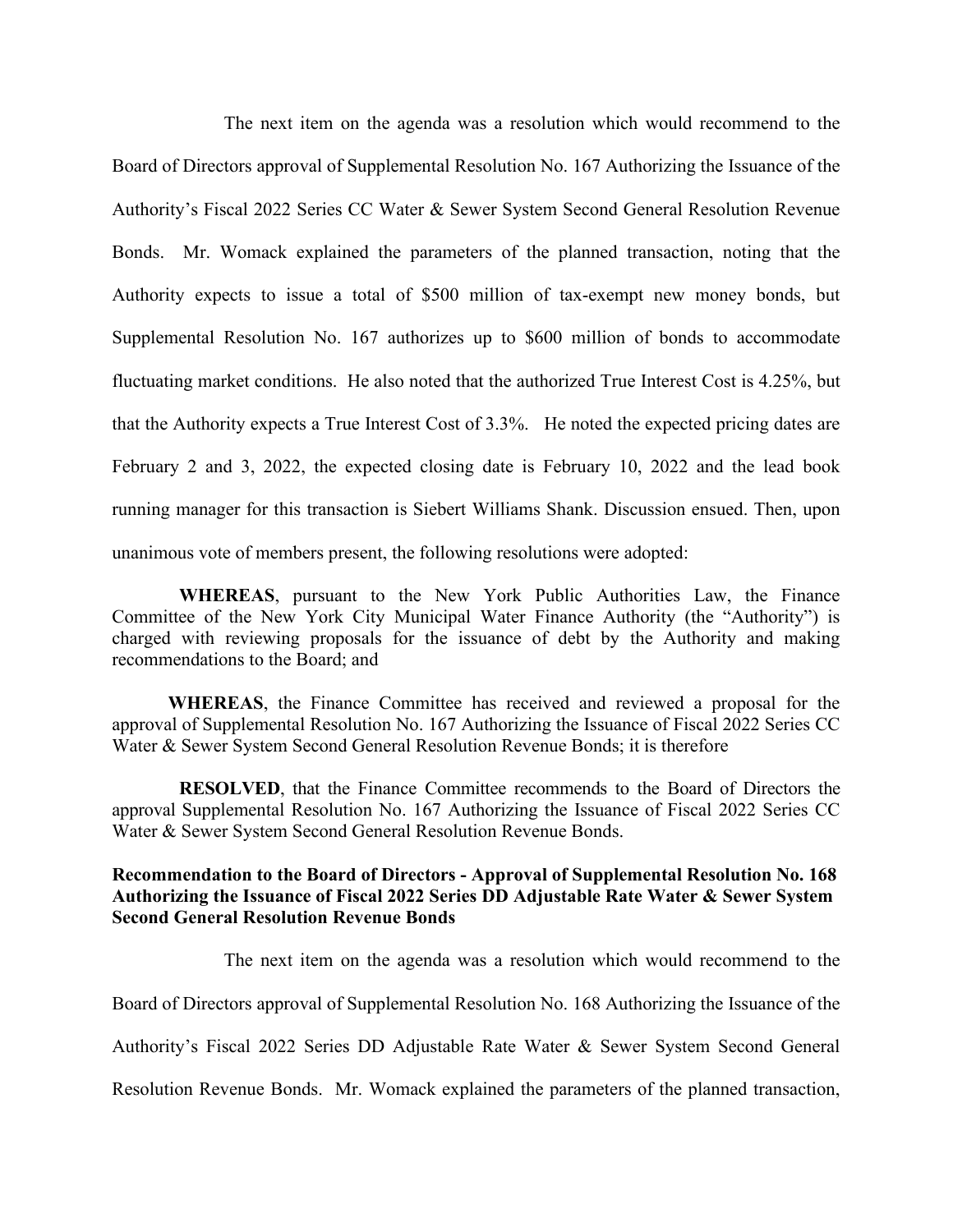The next item on the agenda was a resolution which would recommend to the Board of Directors approval of Supplemental Resolution No. 167 Authorizing the Issuance of the Authority's Fiscal 2022 Series CC Water & Sewer System Second General Resolution Revenue Bonds. Mr. Womack explained the parameters of the planned transaction, noting that the Authority expects to issue a total of \$500 million of tax-exempt new money bonds, but Supplemental Resolution No. 167 authorizes up to \$600 million of bonds to accommodate fluctuating market conditions. He also noted that the authorized True Interest Cost is 4.25%, but that the Authority expects a True Interest Cost of 3.3%. He noted the expected pricing dates are February 2 and 3, 2022, the expected closing date is February 10, 2022 and the lead book running manager for this transaction is Siebert Williams Shank. Discussion ensued. Then, upon unanimous vote of members present, the following resolutions were adopted:

**WHEREAS**, pursuant to the New York Public Authorities Law, the Finance Committee of the New York City Municipal Water Finance Authority (the "Authority") is charged with reviewing proposals for the issuance of debt by the Authority and making recommendations to the Board; and

**WHEREAS**, the Finance Committee has received and reviewed a proposal for the approval of Supplemental Resolution No. 167 Authorizing the Issuance of Fiscal 2022 Series CC Water & Sewer System Second General Resolution Revenue Bonds; it is therefore

**RESOLVED**, that the Finance Committee recommends to the Board of Directors the approval Supplemental Resolution No. 167 Authorizing the Issuance of Fiscal 2022 Series CC Water & Sewer System Second General Resolution Revenue Bonds.

## **Recommendation to the Board of Directors - Approval of Supplemental Resolution No. 168 Authorizing the Issuance of Fiscal 2022 Series DD Adjustable Rate Water & Sewer System Second General Resolution Revenue Bonds**

The next item on the agenda was a resolution which would recommend to the

Board of Directors approval of Supplemental Resolution No. 168 Authorizing the Issuance of the

Authority's Fiscal 2022 Series DD Adjustable Rate Water & Sewer System Second General

Resolution Revenue Bonds. Mr. Womack explained the parameters of the planned transaction,